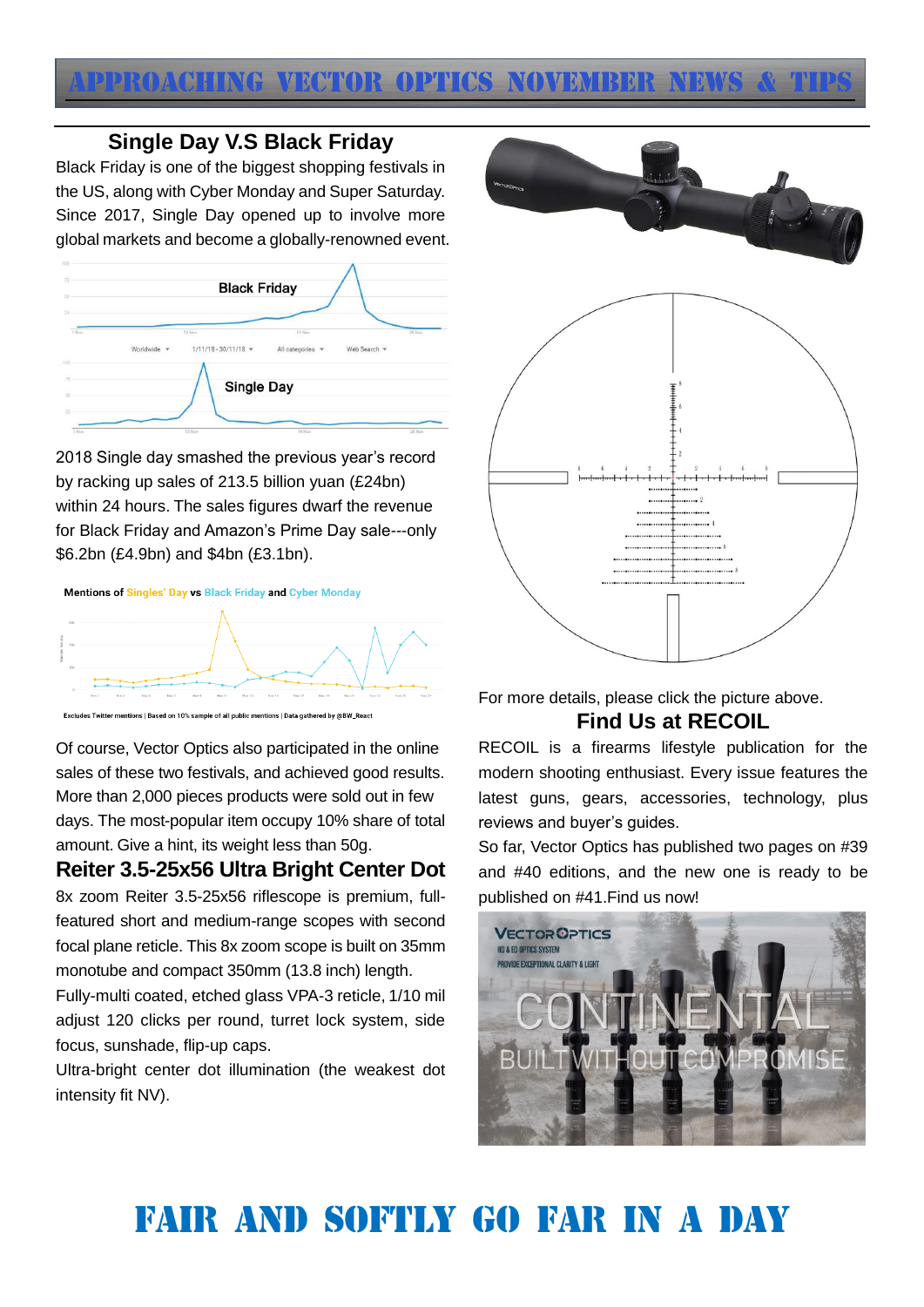

## **Single Day V.S Black Friday**

Black Friday is one of the biggest shopping festivals in the US, along with Cyber Monday and Super Saturday. Since 2017, Single Day opened up to involve more global markets and become a globally-renowned event.

| $75 -$<br>50          |                           | <b>Black Friday</b>                    |                            |              |        |
|-----------------------|---------------------------|----------------------------------------|----------------------------|--------------|--------|
| $25 -$                |                           |                                        |                            |              |        |
| 1 Nov                 | Worldwide<br>$\mathbf{v}$ | 10 Nov<br>$1/11/18 - 30/11/18$ $\star$ | 19 Nov<br>All categories v | Web Search - | 28 Nov |
| too<br>75<br>ò.<br>50 |                           | <b>Single Day</b>                      |                            |              |        |
| 25<br>1 Nov           |                           | 10 Nov                                 | 19 Nov                     |              | 28 Nov |

2018 Single day smashed the previous year's record by racking up sales of 213.5 billion yuan (£24bn) within 24 hours. The sales figures dwarf the revenue for Black Friday and Amazon's Prime Day sale---only \$6.2bn (£4.9bn) and \$4bn (£3.1bn).

Mentions of Singles' Day vs Black Friday and Cyber Monday



Excludes Twitter mentions | Based on 10% sample of all public mentions | Data gathered by @BW\_React

Of course, Vector Optics also participated in the online sales of these two festivals, and achieved good results. More than 2,000 pieces products were sold out in few days. The most-popular item occupy 10% share of total amount. Give a hint, its weight less than 50g.

**Reiter 3.5-25x56 Ultra Bright Center Dot** 8x zoom Reiter 3.5-25x56 riflescope is premium, full-

featured short and medium-range scopes with second focal plane reticle. This 8x zoom scope is built on 35mm monotube and compact 350mm (13.8 inch) length.

Fully-multi coated, etched glass VPA-3 reticle, 1/10 mil adjust 120 clicks per round, turret lock system, side focus, sunshade, flip-up caps.

Ultra-bright center dot illumination (the weakest dot intensity fit NV).



For more details, please click the picture above. **Find Us at RECOIL**

RECOIL is a firearms lifestyle publication for the modern shooting enthusiast. Every issue features the latest guns, gears, accessories, technology, plus reviews and buyer's guides.

So far, Vector Optics has published two pages on #39 and #40 editions, and the new one is ready to be published on #41.Find us now!



## Fair and softly go far in a day